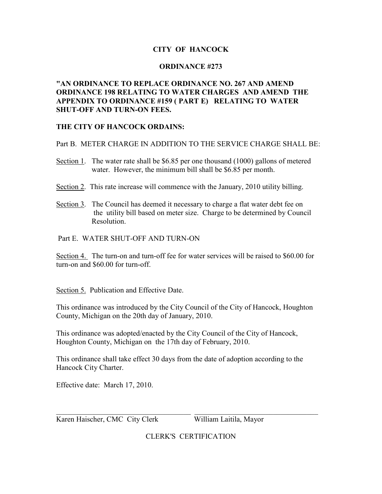## **CITY OF HANCOCK**

## **ORDINANCE #273**

## **"AN ORDINANCE TO REPLACE ORDINANCE NO. 267 AND AMEND ORDINANCE 198 RELATING TO WATER CHARGES AND AMEND THE APPENDIX TO ORDINANCE #159 ( PART E) RELATING TO WATER SHUT-OFF AND TURN-ON FEES.**

## **THE CITY OF HANCOCK ORDAINS:**

Part B. METER CHARGE IN ADDITION TO THE SERVICE CHARGE SHALL BE:

- Section 1. The water rate shall be \$6.85 per one thousand (1000) gallons of metered water. However, the minimum bill shall be \$6.85 per month.
- Section 2. This rate increase will commence with the January, 2010 utility billing.
- Section 3. The Council has deemed it necessary to charge a flat water debt fee on the utility bill based on meter size. Charge to be determined by Council Resolution.

Part E. WATER SHUT-OFF AND TURN-ON

Section 4. The turn-on and turn-off fee for water services will be raised to \$60.00 for turn-on and \$60.00 for turn-off.

Section 5. Publication and Effective Date.

This ordinance was introduced by the City Council of the City of Hancock, Houghton County, Michigan on the 20th day of January, 2010.

This ordinance was adopted/enacted by the City Council of the City of Hancock, Houghton County, Michigan on the 17th day of February, 2010.

This ordinance shall take effect 30 days from the date of adoption according to the Hancock City Charter.

Effective date: March 17, 2010.

Karen Haischer, CMC City Clerk William Laitila, Mayor

CLERK'S CERTIFICATION

\_\_\_\_\_\_\_\_\_\_\_\_\_\_\_\_\_\_\_\_\_\_\_\_\_\_\_\_\_\_\_\_\_\_\_\_ \_\_\_\_\_\_\_\_\_\_\_\_\_\_\_\_\_\_\_\_\_\_\_\_\_\_\_\_\_\_\_\_\_